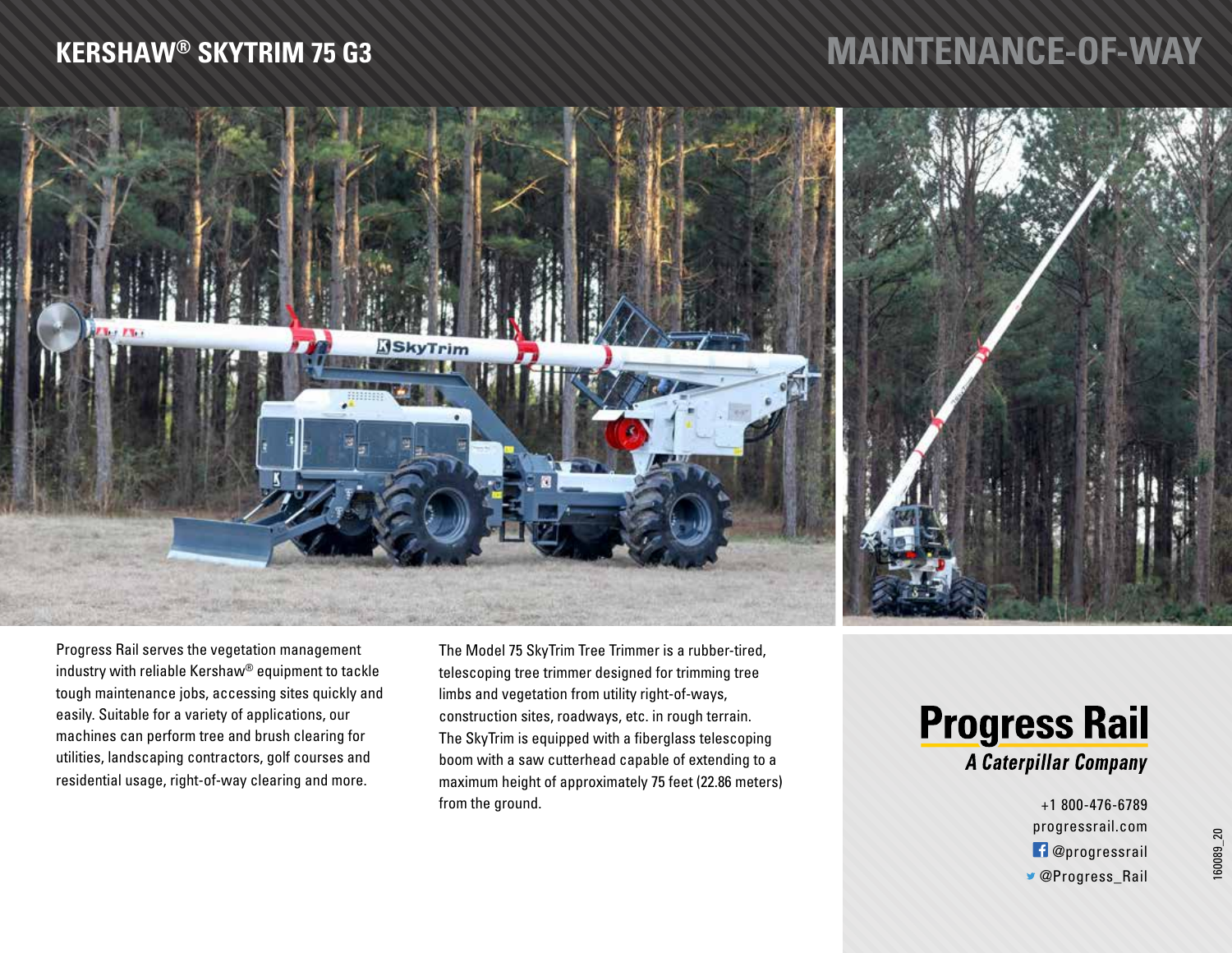### **KERSHAW® SKYTRIM 75 G3**

# **MAINTENANCE-OF-WAY**



Progress Rail serves the vegetation management industry with reliable Kershaw® equipment to tackle tough maintenance jobs, accessing sites quickly and easily. Suitable for a variety of applications, our machines can perform tree and brush clearing for utilities, landscaping contractors, golf courses and residential usage, right-of-way clearing and more.

The Model 75 SkyTrim Tree Trimmer is a rubber-tired, telescoping tree trimmer designed for trimming tree limbs and vegetation from utility right-of-ways, construction sites, roadways, etc. in rough terrain. The SkyTrim is equipped with a fiberglass telescoping boom with a saw cutterhead capable of extending to a maximum height of approximately 75 feet (22.86 meters) from the ground.

## **Progress Rail** A Caterpillar Company

+1 800-476-6789 progressrail.com @progressrail @Progress\_Rail